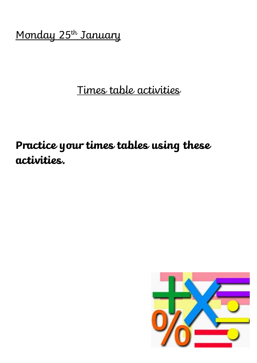Monday 25<sup>th</sup> January

## Times table activities

# **Practice your times tables using these activities.**

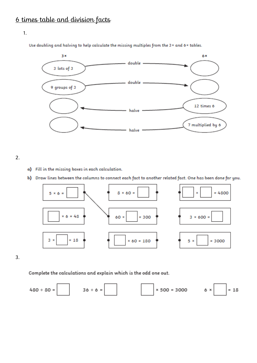#### 1.

Use doubling and halving to help calculate the missing multiples from the 3 x and 6 x tables.



2.

- a) Fill in the missing boxes in each calculation.
- b) Draw lines between the columns to connect each fact to another related fact. One has been done for you.



3.

Complete the calculations and explain which is the odd one out.

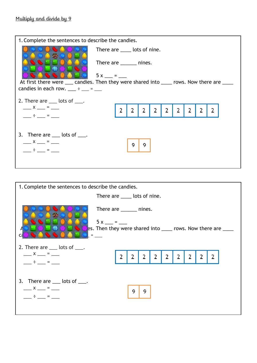| 1. Complete the sentences to describe the candies.                                                                                                                                                                                                                                                                  |                               |               |               |   |   |   |               |               |               |   |  |
|---------------------------------------------------------------------------------------------------------------------------------------------------------------------------------------------------------------------------------------------------------------------------------------------------------------------|-------------------------------|---------------|---------------|---|---|---|---------------|---------------|---------------|---|--|
|                                                                                                                                                                                                                                                                                                                     | There are _____ lots of nine. |               |               |   |   |   |               |               |               |   |  |
|                                                                                                                                                                                                                                                                                                                     | There are _______ nines.      |               |               |   |   |   |               |               |               |   |  |
|                                                                                                                                                                                                                                                                                                                     | $5x =$                        |               |               |   |   |   |               |               |               |   |  |
| At first there were ____ candies. Then they were shared into _____ rows. Now there are ____                                                                                                                                                                                                                         |                               |               |               |   |   |   |               |               |               |   |  |
| candies in each row. $\frac{1}{2}$ = $\frac{1}{2}$ = $\frac{1}{2}$                                                                                                                                                                                                                                                  |                               |               |               |   |   |   |               |               |               |   |  |
| 2. There are $\_\_\_\$ lots of $\_\_\_\$ .                                                                                                                                                                                                                                                                          |                               |               |               |   |   |   |               |               |               |   |  |
| $\frac{\ }{1}$ x $\frac{\ }{1}$ = $\frac{\ }{1}$                                                                                                                                                                                                                                                                    |                               | $\mathcal{P}$ | $\mathcal{P}$ | 2 | 2 | 2 | $\mathcal{P}$ | $\mathcal{P}$ | $\mathcal{P}$ | 2 |  |
| $\frac{1}{2}$ $\frac{1}{2}$ $\frac{1}{2}$ $\frac{1}{2}$ $\frac{1}{2}$ $\frac{1}{2}$ $\frac{1}{2}$ $\frac{1}{2}$ $\frac{1}{2}$ $\frac{1}{2}$ $\frac{1}{2}$ $\frac{1}{2}$ $\frac{1}{2}$ $\frac{1}{2}$ $\frac{1}{2}$ $\frac{1}{2}$ $\frac{1}{2}$ $\frac{1}{2}$ $\frac{1}{2}$ $\frac{1}{2}$ $\frac{1}{2}$ $\frac{1}{2}$ |                               |               |               |   |   |   |               |               |               |   |  |
|                                                                                                                                                                                                                                                                                                                     |                               |               |               |   |   |   |               |               |               |   |  |
| 3. There are $\_\_$ lots of $\_\_$ .                                                                                                                                                                                                                                                                                |                               |               |               |   |   |   |               |               |               |   |  |
| $\frac{\ }{1}$ x $\frac{\ }{1}$ = $\frac{\ }{1}$                                                                                                                                                                                                                                                                    |                               |               | 9             | 9 |   |   |               |               |               |   |  |
| $\div$ $\div$ $\div$                                                                                                                                                                                                                                                                                                |                               |               |               |   |   |   |               |               |               |   |  |
|                                                                                                                                                                                                                                                                                                                     |                               |               |               |   |   |   |               |               |               |   |  |

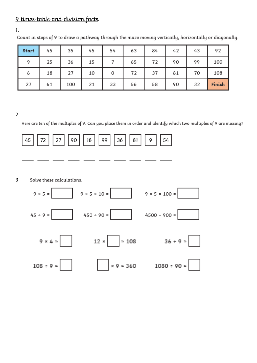### 9 times table and division facts

1.

| Start | 45 | 35  | 45 | 54 | 63 | 84 | 42 | 43 | 92     |
|-------|----|-----|----|----|----|----|----|----|--------|
| Q     | 25 | 36  | 15 |    | 65 | 72 | 90 | 99 | 100    |
| 6     | 18 | 27  | 10 | 0  | 72 | 37 | 81 | 70 | 108    |
| 27    | 61 | 100 | 21 | 33 | 56 | 58 | 90 | 32 | Finish |

Count in steps of 9 to draw a pathway through the maze moving vertically, horizontally or diagonally.

2.

Here are ten of the multiples of 9. Can you place them in order and identify which two multiples of 9 are missing?



3.Solve these calculations.

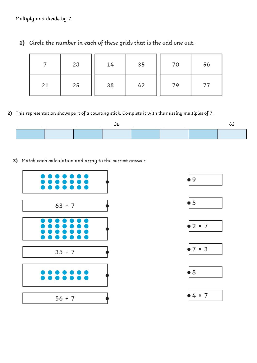|    | 28 | 14 | 35 | 70 | 56 |
|----|----|----|----|----|----|
| 21 | 25 | 38 | 42 | 79 | 77 |

1) Circle the number in each of these grids that is the odd one out.

2) This representation shows part of a counting stick. Complete it with the missing multiples of 7.

3) Match each calculation and array to the correct answer.













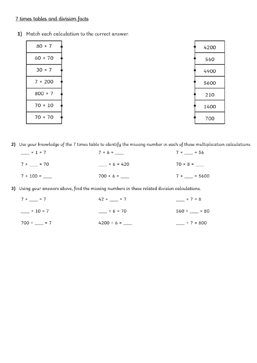## 7 times tables and division facts

1) Match each calculation to the correct answer.

| $80 \times 7$  | 4200 |
|----------------|------|
| $60 \times 70$ | 560  |
| $30 \times 7$  | 4900 |
| 7 × 200        | 5600 |
| $800 \times 7$ | 210  |
| $70 \times 10$ | 1400 |
| $70 \times 70$ | 700  |

2) Use your knowledge of the 7 times table to identify the missing number in each of these multiplication calculations.

| $\frac{\ }{2}$ × 1 = 7 | $7 \times 6 =$ | $7 \times \_ = 56$   |  |  |
|------------------------|----------------|----------------------|--|--|
| $7 \times \_ = 70$     | $× 6 = 420$    |                      |  |  |
| $7 \times 100 =$       |                | $7 \times \_ = 5600$ |  |  |

3) Using your answers above, find the missing numbers in these related division calculations.

| $7 \div \_ = 7$   | $42 \div \_ = 7$ | $-$ ÷ 7 = 8        |
|-------------------|------------------|--------------------|
| $-$ ÷ 10 = 7      | $-$ ÷ 6 = 70     | $560 \div \_ = 80$ |
| $700 \div \_ = 7$ |                  | $-$ ÷ 7 = 800      |